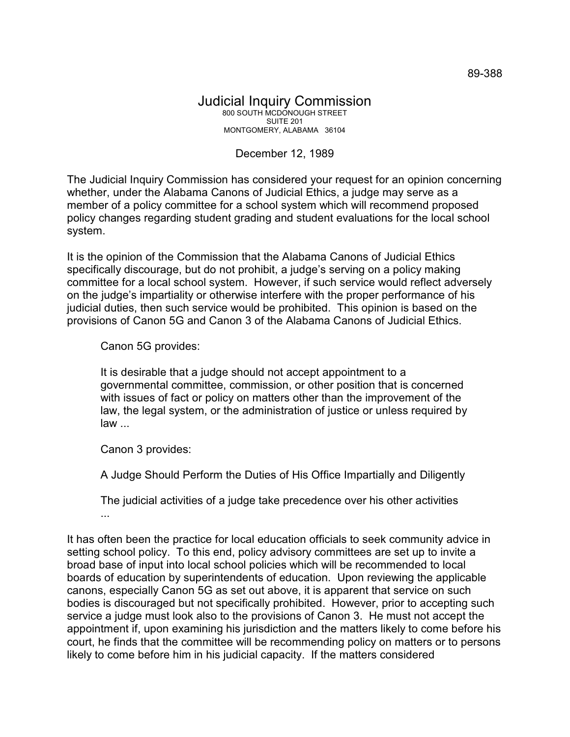## Judicial Inquiry Commission 800 SOUTH MCDONOUGH STREET SUITE 201 MONTGOMERY, ALABAMA 36104

## December 12, 1989

The Judicial Inquiry Commission has considered your request for an opinion concerning whether, under the Alabama Canons of Judicial Ethics, a judge may serve as a member of a policy committee for a school system which will recommend proposed policy changes regarding student grading and student evaluations for the local school system.

It is the opinion of the Commission that the Alabama Canons of Judicial Ethics specifically discourage, but do not prohibit, a judge's serving on a policy making committee for a local school system. However, if such service would reflect adversely on the judge's impartiality or otherwise interfere with the proper performance of his judicial duties, then such service would be prohibited. This opinion is based on the provisions of Canon 5G and Canon 3 of the Alabama Canons of Judicial Ethics.

Canon 5G provides:

It is desirable that a judge should not accept appointment to a governmental committee, commission, or other position that is concerned with issues of fact or policy on matters other than the improvement of the law, the legal system, or the administration of justice or unless required by law ...

Canon 3 provides:

A Judge Should Perform the Duties of His Office Impartially and Diligently

The judicial activities of a judge take precedence over his other activities ...

It has often been the practice for local education officials to seek community advice in setting school policy. To this end, policy advisory committees are set up to invite a broad base of input into local school policies which will be recommended to local boards of education by superintendents of education. Upon reviewing the applicable canons, especially Canon 5G as set out above, it is apparent that service on such bodies is discouraged but not specifically prohibited. However, prior to accepting such service a judge must look also to the provisions of Canon 3. He must not accept the appointment if, upon examining his jurisdiction and the matters likely to come before his court, he finds that the committee will be recommending policy on matters or to persons likely to come before him in his judicial capacity. If the matters considered